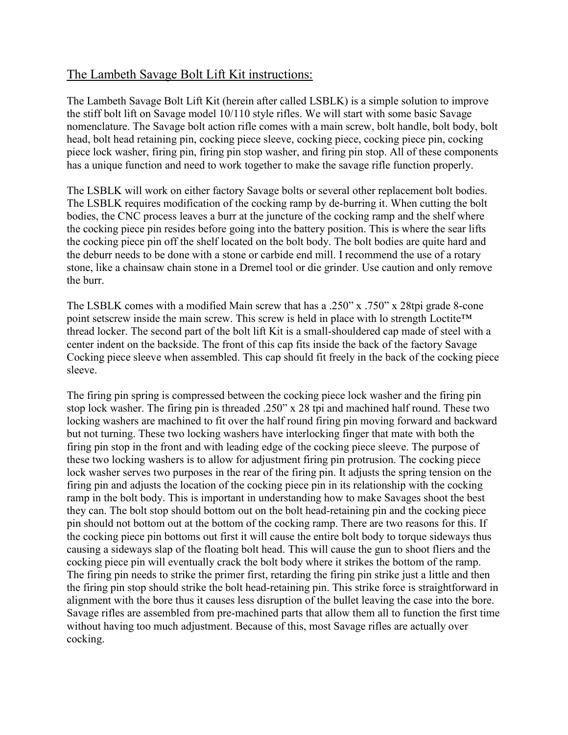## The Lambeth Savage Bolt Lift Kit instructions:

The Lambeth Savage Bolt Lift Kit (herein after called LSBLK) is a simple solution to improve the stiff bolt lift on Savage model 10/110 style rifles. We will start with some basic Savage nomenclature. The Savage bolt action rifle comes with a main screw, bolt handle, bolt body, bolt head, bolt head retaining pin, cocking piece sleeve, cocking piece, cocking piece pin, cocking piece lock washer, firing pin, firing pin stop washer, and firing pin stop. All of these components has a unique function and need to work together to make the savage rifle function properly.

The LSBLK will work on either factory Savage bolts or several other replacement bolt bodies. The LSBLK requires modification of the cocking ramp by de-burring it. When cutting the bolt bodies, the CNC process leaves a burr at the juncture of the cocking ramp and the shelf where the cocking piece pin resides before going into the battery position. This is where the sear lifts the cocking piece pin off the shelf located on the bolt body. The bolt bodies are quite hard and the deburr needs to be done with a stone or carbide end mill. I recommend the use of a rotary stone, like a chainsaw chain stone in a Dremel tool or die grinder. Use caution and only remove the burr.

The LSBLK comes with a modified Main screw that has a .250" x .750" x 28tpi grade 8-cone point setscrew inside the main screw. This screw is held in place with lo strength Loctite™ thread locker. The second part of the bolt lift Kit is a small-shouldered cap made of steel with a center indent on the backside. The front of this cap fits inside the back of the factory Savage Cocking piece sleeve when assembled. This cap should fit freely in the back of the cocking piece sleeve.

The firing pin spring is compressed between the cocking piece lock washer and the firing pin stop lock washer. The firing pin is threaded .250" x 28 tpi and machined half round. These two locking washers are machined to fit over the half round firing pin moving forward and backward but not turning. These two locking washers have interlocking finger that mate with both the firing pin stop in the front and with leading edge of the cocking piece sleeve. The purpose of these two locking washers is to allow for adjustment firing pin protrusion. The cocking piece lock washer serves two purposes in the rear of the firing pin. It adjusts the spring tension on the firing pin and adjusts the location of the cocking piece pin in its relationship with the cocking ramp in the bolt body. This is important in understanding how to make Savages shoot the best they can. The bolt stop should bottom out on the bolt head-retaining pin and the cocking piece pin should not bottom out at the bottom of the cocking ramp. There are two reasons for this. If the cocking piece pin bottoms out first it will cause the entire bolt body to torque sideways thus causing a sideways slap of the floating bolt head. This will cause the gun to shoot fliers and the cocking piece pin will eventually crack the bolt body where it strikes the bottom of the ramp. The firing pin needs to strike the primer first, retarding the firing pin strike just a little and then the firing pin stop should strike the bolt head-retaining pin. This strike force is straightforward in alignment with the bore thus it causes less disruption of the bullet leaving the case into the bore. Savage rifles are assembled from pre-machined parts that allow them all to function the first time without having too much adjustment. Because of this, most Savage rifles are actually over cocking.